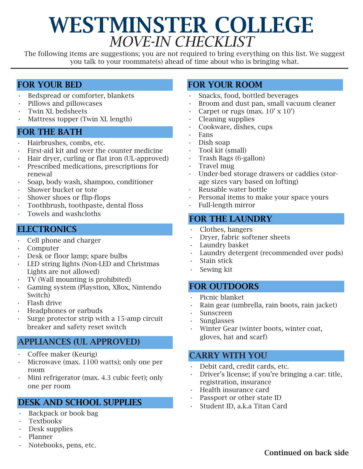# WESTMINSTER COLLEGE *MOVE-IN CHECKLIST*

The following items are suggestions; you are not required to bring everything on this list. We suggest you talk to your roommate(s) ahead of time about who is bringing what.

#### FOR YOUR BED

- Bedspread or comforter, blankets
- Pillows and pillowcases
- Twin XL bedsheets
- Mattress topper (Twin XL length)

#### FOR THE BATH

- Hairbrushes, combs, etc.
- First-aid kit and over the counter medicine
- Hair dryer, curling or flat iron (UL-approved)
- Prescribed medications, prescriptions for renewal
- Soap, body wash, shampoo, conditioner
- Shower bucket or tote
- Shower shoes or flip-flops
- Toothbrush, toothpaste, dental floss
- Towels and washcloths

#### **ELECTRONICS**

- Cell phone and charger
- Computer
- Desk or floor lamp; spare bulbs
- LED string lights (Non-LED and Christmas Lights are not allowed)
- TV (Wall mounting is prohibited)
- Gaming system (Playstion, XBox, Nintendo Switch)
- Flash drive
- Headphones or earbuds
- Surge protector strip with a 15-amp circuit breaker and safety reset switch

#### APPLIANCES (UL APPROVED)

- Coffee maker (Keurig)
- Microwave (max. 1100 watts); only one per room
- Mini refrigerator (max. 4.3 cubic feet); only one per room

#### DESK AND SCHOOL SUPPLIES

- Backpack or book bag
- Textbooks
- Desk supplies
- Planner
- Notebooks, pens, etc.

#### FOR YOUR ROOM

- Snacks, food, bottled beverages
- Broom and dust pan, small vacuum cleaner
- Carpet or rugs (max.  $10' \times 10'$ )
- Cleaning supplies
- Cookware, dishes, cups
- Fans
- Dish soap
- Tool kit (small)
- Trash Bags (6-gallon)
- Travel mug
- Under-bed storage drawers or caddies (storage sizes vary based on lofting)
- Reusable water bottle
- Personal items to make your space yours
- Full-length mirror

#### FOR THE LAUNDRY

- Clothes, hangers
- Dryer, fabric softener sheets
- Laundry basket
- Laundry detergent (recommended over pods)
- Stain stick
- Sewing kit

#### FOR OUTDOORS

- Picnic blanket
- Rain gear (umbrella, rain boots, rain jacket)
- Sunscreen
- Sunglasses
- Winter Gear (winter boots, winter coat, gloves, hat and scarf)

#### CARRY WITH YOU

- Debit card, credit cards, etc.
- Driver's license; if you're bringing a car: title, registration, insurance
- Health insurance card
- Passport or other state ID
- Student ID, a.k.a Titan Card